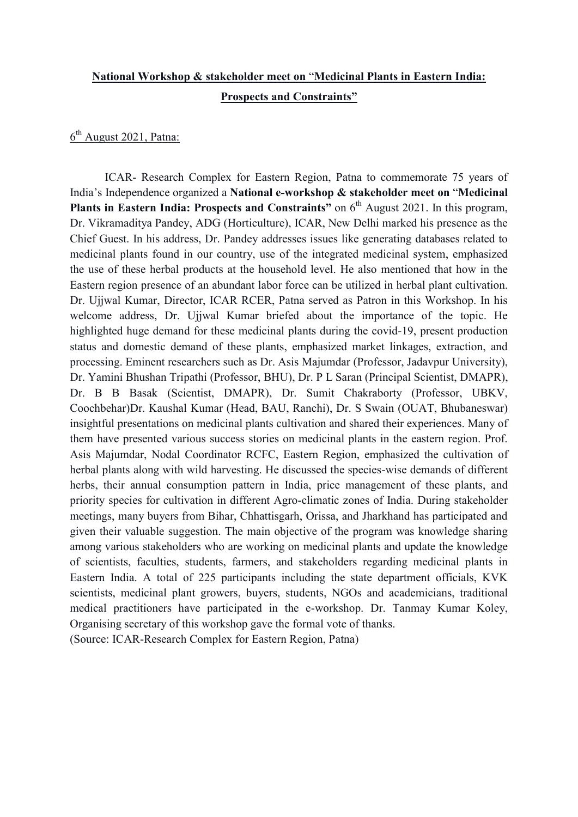## **National Workshop & stakeholder meet on** "**Medicinal Plants in Eastern India: Prospects and Constraints"**

## 6<sup>th</sup> August 2021, Patna:

ICAR- Research Complex for Eastern Region, Patna to commemorate 75 years of India's Independence organized a **National e-workshop & stakeholder meet on** "**Medicinal**  Plants in Eastern India: Prospects and Constraints" on 6<sup>th</sup> August 2021. In this program, Dr. Vikramaditya Pandey, ADG (Horticulture), ICAR, New Delhi marked his presence as the Chief Guest. In his address, Dr. Pandey addresses issues like generating databases related to medicinal plants found in our country, use of the integrated medicinal system, emphasized the use of these herbal products at the household level. He also mentioned that how in the Eastern region presence of an abundant labor force can be utilized in herbal plant cultivation. Dr. Ujjwal Kumar, Director, ICAR RCER, Patna served as Patron in this Workshop. In his welcome address, Dr. Ujjwal Kumar briefed about the importance of the topic. He highlighted huge demand for these medicinal plants during the covid-19, present production status and domestic demand of these plants, emphasized market linkages, extraction, and processing. Eminent researchers such as Dr. Asis Majumdar (Professor, Jadavpur University), Dr. Yamini Bhushan Tripathi (Professor, BHU), Dr. P L Saran (Principal Scientist, DMAPR), Dr. B B Basak (Scientist, DMAPR), Dr. Sumit Chakraborty (Professor, UBKV, Coochbehar)Dr. Kaushal Kumar (Head, BAU, Ranchi), Dr. S Swain (OUAT, Bhubaneswar) insightful presentations on medicinal plants cultivation and shared their experiences. Many of them have presented various success stories on medicinal plants in the eastern region. Prof. Asis Majumdar, Nodal Coordinator RCFC, Eastern Region, emphasized the cultivation of herbal plants along with wild harvesting. He discussed the species-wise demands of different herbs, their annual consumption pattern in India, price management of these plants, and priority species for cultivation in different Agro-climatic zones of India. During stakeholder meetings, many buyers from Bihar, Chhattisgarh, Orissa, and Jharkhand has participated and given their valuable suggestion. The main objective of the program was knowledge sharing among various stakeholders who are working on medicinal plants and update the knowledge of scientists, faculties, students, farmers, and stakeholders regarding medicinal plants in Eastern India. A total of 225 participants including the state department officials, KVK scientists, medicinal plant growers, buyers, students, NGOs and academicians, traditional medical practitioners have participated in the e-workshop. Dr. Tanmay Kumar Koley, Organising secretary of this workshop gave the formal vote of thanks.

(Source: ICAR-Research Complex for Eastern Region, Patna)